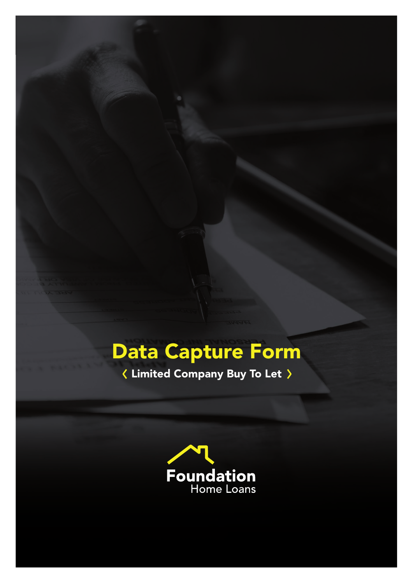# Data Capture Form

Limited Company Buy To Let

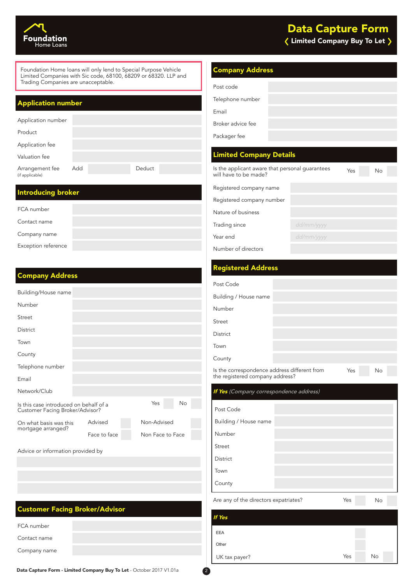

Foundation Home loans will only lend to Special Purpose Vehicle Limited Companies with Sic code, 68100, 68209 or 68320. LLP and Trading Companies are unacceptable.

### Application number

| Application number                 |     |        |
|------------------------------------|-----|--------|
| Product                            |     |        |
| Application fee                    |     |        |
| Valuation fee                      |     |        |
| Arrangement fee<br>(if applicable) | Add | Deduct |
|                                    |     |        |

### Introducing broker

| FCA number          |  |
|---------------------|--|
| Contact name        |  |
| Company name        |  |
| Exception reference |  |

### Company Address

| Building/House name                                                       |              |                  |    |
|---------------------------------------------------------------------------|--------------|------------------|----|
| Number                                                                    |              |                  |    |
| Street                                                                    |              |                  |    |
| District                                                                  |              |                  |    |
| Town                                                                      |              |                  |    |
| County                                                                    |              |                  |    |
| Telephone number                                                          |              |                  |    |
| Email                                                                     |              |                  |    |
| Network/Club                                                              |              |                  |    |
| Is this case introduced on behalf of a<br>Customer Facing Broker/Advisor? |              | Yes              | No |
| On what basis was this                                                    | Advised      | Non-Advised      |    |
| mortgage arranged?                                                        | Face to face | Non Face to Face |    |
| Advice or information provided by                                         |              |                  |    |
|                                                                           |              |                  |    |

### Customer Facing Broker/Advisor

| FCA number   |  |
|--------------|--|
| Contact name |  |
| Company name |  |
|              |  |

### Company Address

| Post code         |  |
|-------------------|--|
| Telephone number  |  |
| Email             |  |
| Broker advice fee |  |
| Packager fee      |  |

### Limited Company Details

| Is the applicant aware that personal guarantees | Yes | No. |
|-------------------------------------------------|-----|-----|
|                                                 |     |     |
|                                                 |     |     |
|                                                 |     |     |
| dd/mm/yyyy                                      |     |     |
| dd/mm/yyyy                                      |     |     |
|                                                 |     |     |
|                                                 |     |     |

### Registered Address

| Post Code                                                                       |     |    |
|---------------------------------------------------------------------------------|-----|----|
| Building / House name                                                           |     |    |
| Number                                                                          |     |    |
| Street                                                                          |     |    |
| District                                                                        |     |    |
| Town                                                                            |     |    |
| County                                                                          |     |    |
| Is the correspondence address different from<br>the registered company address? | Yes | No |

| If Yes (Company correspondence address) |  |     |    |  |  |
|-----------------------------------------|--|-----|----|--|--|
| Post Code                               |  |     |    |  |  |
| Building / House name                   |  |     |    |  |  |
| Number                                  |  |     |    |  |  |
| Street                                  |  |     |    |  |  |
| District                                |  |     |    |  |  |
| Town                                    |  |     |    |  |  |
| County                                  |  |     |    |  |  |
| Are any of the directors expatriates?   |  | Yes | No |  |  |
|                                         |  |     |    |  |  |

| <b>If Yes</b> |     |    |  |
|---------------|-----|----|--|
| <b>EEA</b>    |     |    |  |
| Other         |     |    |  |
| UK tax payer? | Yes | No |  |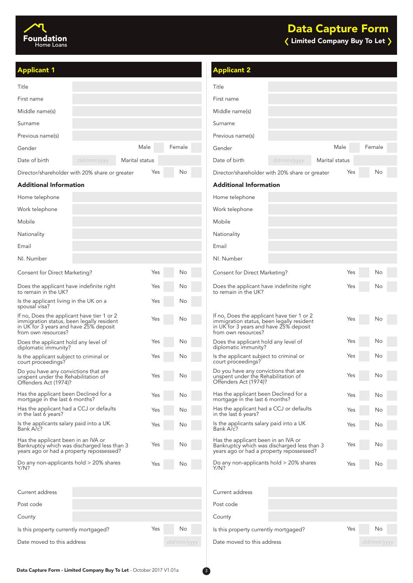

| <b>Applicant 1</b>                                                                                                                                       |                |            | <b>Applicant 2</b>                                                                                                                                       |            |                |            |
|----------------------------------------------------------------------------------------------------------------------------------------------------------|----------------|------------|----------------------------------------------------------------------------------------------------------------------------------------------------------|------------|----------------|------------|
| Title                                                                                                                                                    |                |            | Title                                                                                                                                                    |            |                |            |
| First name                                                                                                                                               |                |            | First name                                                                                                                                               |            |                |            |
| Middle name(s)                                                                                                                                           |                |            | Middle name(s)                                                                                                                                           |            |                |            |
| Surname                                                                                                                                                  |                |            | Surname                                                                                                                                                  |            |                |            |
| Previous name(s)                                                                                                                                         |                |            | Previous name(s)                                                                                                                                         |            |                |            |
| Gender                                                                                                                                                   | Male           | Female     | Gender                                                                                                                                                   |            | Male           | Female     |
| Date of birth<br>dd/mm/yyyy                                                                                                                              | Marital status |            | Date of birth                                                                                                                                            | dd/mm/yyyy | Marital status |            |
| Director/shareholder with 20% share or greater                                                                                                           | Yes            | No         | Director/shareholder with 20% share or greater                                                                                                           |            | Yes            | No         |
| <b>Additional Information</b>                                                                                                                            |                |            | <b>Additional Information</b>                                                                                                                            |            |                |            |
| Home telephone                                                                                                                                           |                |            | Home telephone                                                                                                                                           |            |                |            |
| Work telephone                                                                                                                                           |                |            | Work telephone                                                                                                                                           |            |                |            |
| Mobile                                                                                                                                                   |                |            | Mobile                                                                                                                                                   |            |                |            |
| Nationality                                                                                                                                              |                |            | Nationality                                                                                                                                              |            |                |            |
| Email                                                                                                                                                    |                |            | Email                                                                                                                                                    |            |                |            |
| NI. Number                                                                                                                                               |                |            | NI. Number                                                                                                                                               |            |                |            |
| Consent for Direct Marketing?                                                                                                                            | Yes            | No         | Consent for Direct Marketing?                                                                                                                            |            | Yes            | No         |
| Does the applicant have indefinite right<br>to remain in the UK?                                                                                         | Yes            | No         | Does the applicant have indefinite right<br>to remain in the UK?                                                                                         |            | Yes            | No         |
| Is the applicant living in the UK on a<br>spousal visa?                                                                                                  | Yes            | No         |                                                                                                                                                          |            |                |            |
| If no, Does the applicant have tier 1 or 2<br>immigration status, been legally resident<br>in UK for 3 years and have 25% deposit<br>from own resources? | Yes            | No         | If no, Does the applicant have tier 1 or 2<br>immigration status, been legally resident<br>in UK for 3 years and have 25% deposit<br>from own resources? |            | Yes            | No         |
| Does the applicant hold any level of<br>diplomatic immunity?                                                                                             | Yes            | No         | Does the applicant hold any level of<br>diplomatic immunity?                                                                                             |            | Yes            | No         |
| Is the applicant subject to criminal or<br>court proceedings?                                                                                            | Yes            | No         | Is the applicant subject to criminal or<br>court proceedings?                                                                                            |            | Yes            | No         |
| Do you have any convictions that are<br>unspent under the Rehabilitation of<br>Offenders Act (1974)?                                                     | Yes            | No         | Do you have any convictions that are<br>unspent under the Rehabilitation of<br>Offenders Act (1974)?                                                     |            | Yes            | No         |
| Has the applicant been Declined for a<br>mortgage in the last 6 months?                                                                                  | Yes            | No         | Has the applicant been Declined for a<br>mortgage in the last 6 months?                                                                                  |            | Yes            | No         |
| Has the applicant had a CCJ or defaults<br>in the last 6 years?                                                                                          | Yes            | No         | Has the applicant had a CCJ or defaults<br>in the last 6 years?                                                                                          |            | Yes            | No         |
| Is the applicants salary paid into a UK<br>Bank A/c?                                                                                                     | Yes            | No         | Is the applicants salary paid into a UK<br>Bank A/c?                                                                                                     |            | Yes            | No         |
| Has the applicant been in an IVA or<br>Bankruptcy which was discharged less than 3<br>years ago or had a property repossessed?                           | Yes            | No         | Has the applicant been in an IVA or<br>Bankruptcy which was discharged less than 3<br>years ago or had a property repossessed?                           |            | Yes            | No         |
| Do any non-applicants hold $>$ 20% shares<br>Y/N?                                                                                                        | Yes            | No         | Do any non-applicants hold $>$ 20% shares<br>Y/N?                                                                                                        |            | Yes            | No.        |
| Current address                                                                                                                                          |                |            | Current address                                                                                                                                          |            |                |            |
| Post code                                                                                                                                                |                |            | Post code                                                                                                                                                |            |                |            |
| County                                                                                                                                                   |                |            | County                                                                                                                                                   |            |                |            |
| Is this property currently mortgaged?                                                                                                                    | Yes            | No         | Is this property currently mortgaged?                                                                                                                    |            | Yes            | No         |
| Date moved to this address                                                                                                                               |                | dd/mm/yyyy | Date moved to this address                                                                                                                               |            |                | dd/mm/yyyy |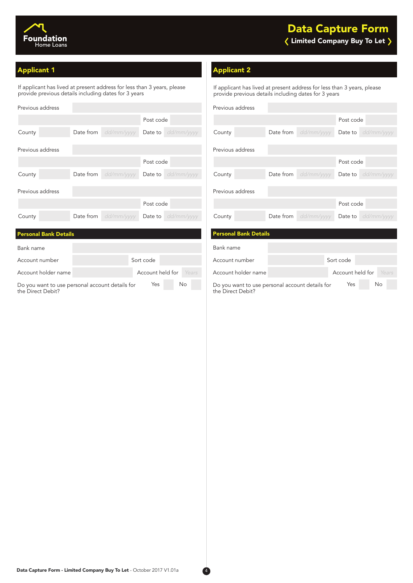

### Applicant 1 Applicant 2 Applicant 2 Applicant 2

Bank name

**Personal Bank Details** 

the Direct Debit?

If applicant has lived at present address for less than 3 years, please provide previous details including dates for 3 years

| Previous address |           |                               |           |                             |
|------------------|-----------|-------------------------------|-----------|-----------------------------|
|                  |           |                               | Post code |                             |
| County           | Date from | dd/mm/yyyy                    |           | <b>Date to</b> $dd/mm/yyyy$ |
|                  |           |                               |           |                             |
| Previous address |           |                               |           |                             |
|                  |           |                               | Post code |                             |
| County           |           | <b>Date from</b> $dd/mm/yyyy$ |           | Date to dd/mm/yyyy          |
|                  |           |                               |           |                             |
| Previous address |           |                               |           |                             |
|                  |           |                               | Post code |                             |
| County           |           | Date from dd/mm/yyyy          |           | <b>Date to</b> dd/mm/yyyy   |
|                  |           |                               |           |                             |

Account number Sort code

If applicant has lived at present address for less than 3 years, please provide previous details including dates for 3 years

| Previous address             |           |                      |           |                             |
|------------------------------|-----------|----------------------|-----------|-----------------------------|
|                              |           |                      | Post code |                             |
| County                       |           | Date from dd/mm/yyyy |           | Date to dd/mm/yyyy          |
| Previous address             |           |                      |           |                             |
|                              |           |                      | Post code |                             |
| County                       | Date from | dd/mm/yyyy           |           | <b>Date to</b> dd/mm/yyyy   |
| Previous address             |           |                      |           |                             |
|                              |           |                      | Post code |                             |
| County                       | Date from | dd/mm/yyyy           |           | <b>Date to</b> $dd/mm/yyyy$ |
|                              |           |                      |           |                             |
| <b>Personal Bank Details</b> |           |                      |           |                             |
| Bank name                    |           |                      |           |                             |
| Account number               |           |                      | Sort code |                             |

Account holder name **Account held for Years Account holder name** Account holder and Account held for *Years* Do you want to use personal account details for Yes No Do you want to use personal account details for Yes No the Direct Debit?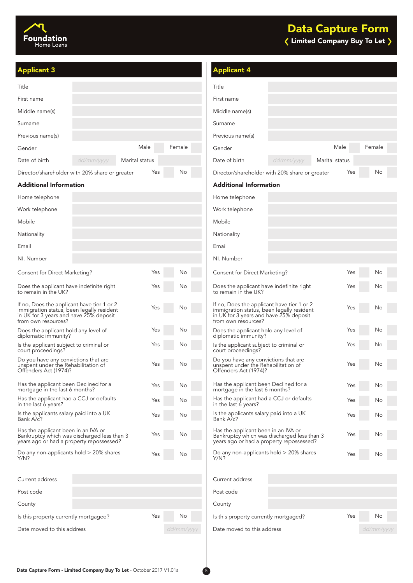

| <b>Applicant 3</b>                                                                                                                                       |                |            | <b>Applicant 4</b>                                                                                                                                       |            |                |            |
|----------------------------------------------------------------------------------------------------------------------------------------------------------|----------------|------------|----------------------------------------------------------------------------------------------------------------------------------------------------------|------------|----------------|------------|
| Title                                                                                                                                                    |                |            | Title                                                                                                                                                    |            |                |            |
| First name                                                                                                                                               |                |            | First name                                                                                                                                               |            |                |            |
| Middle name(s)                                                                                                                                           |                |            | Middle name(s)                                                                                                                                           |            |                |            |
| Surname                                                                                                                                                  |                |            | Surname                                                                                                                                                  |            |                |            |
| Previous name(s)                                                                                                                                         |                |            | Previous name(s)                                                                                                                                         |            |                |            |
| Gender                                                                                                                                                   | Male           | Female     | Gender                                                                                                                                                   |            | Male           | Female     |
| Date of birth<br>dd/mm/yyyy                                                                                                                              | Marital status |            | Date of birth                                                                                                                                            | dd/mm/yyyy | Marital status |            |
| Director/shareholder with 20% share or greater                                                                                                           | Yes            | No         | Director/shareholder with 20% share or greater                                                                                                           |            | Yes            | No         |
| <b>Additional Information</b>                                                                                                                            |                |            | <b>Additional Information</b>                                                                                                                            |            |                |            |
| Home telephone                                                                                                                                           |                |            | Home telephone                                                                                                                                           |            |                |            |
| Work telephone                                                                                                                                           |                |            | Work telephone                                                                                                                                           |            |                |            |
| Mobile                                                                                                                                                   |                |            | Mobile                                                                                                                                                   |            |                |            |
| Nationality                                                                                                                                              |                |            | Nationality                                                                                                                                              |            |                |            |
| Email                                                                                                                                                    |                |            | Email                                                                                                                                                    |            |                |            |
| NI. Number                                                                                                                                               |                |            | NI. Number                                                                                                                                               |            |                |            |
| Consent for Direct Marketing?                                                                                                                            | Yes            | No         | Consent for Direct Marketing?                                                                                                                            |            | Yes            | No         |
| Does the applicant have indefinite right<br>to remain in the UK?                                                                                         | Yes            | No         | Does the applicant have indefinite right<br>to remain in the UK?                                                                                         |            | Yes            | No         |
| If no, Does the applicant have tier 1 or 2<br>immigration status, been legally resident<br>in UK for 3 years and have 25% deposit<br>from own resources? | Yes            | No         | If no, Does the applicant have tier 1 or 2<br>immigration status, been legally resident<br>in UK for 3 years and have 25% deposit<br>from own resources? |            | Yes            | No         |
| Does the applicant hold any level of<br>diplomatic immunity?                                                                                             | Yes            | No         | Does the applicant hold any level of<br>diplomatic immunity?                                                                                             |            | Yes            | No         |
| Is the applicant subject to criminal or<br>court proceedings?                                                                                            | Yes            | No         | Is the applicant subject to criminal or<br>court proceedings?                                                                                            |            | Yes            | No         |
| Do you have any convictions that are<br>unspent under the Rehabilitation of<br>Offenders Act (1974)?                                                     | Yes            | Νo         | Do you have any convictions that are<br>unspent under the Rehabilitation of<br>Offenders Act (1974)?                                                     |            | Yes            | Νo         |
| Has the applicant been Declined for a<br>mortgage in the last 6 months?                                                                                  | Yes            | Νo         | Has the applicant been Declined for a<br>mortgage in the last 6 months?                                                                                  |            | Yes            | No         |
| Has the applicant had a CCJ or defaults<br>in the last 6 years?                                                                                          | Yes            | Νo         | Has the applicant had a CCJ or defaults<br>in the last 6 years?                                                                                          |            | Yes            | Νo         |
| Is the applicants salary paid into a UK<br>Bank A/c?                                                                                                     | Yes            | Νo         | Is the applicants salary paid into a UK<br>Bank A/c?                                                                                                     |            | Yes            | Νo         |
| Has the applicant been in an IVA or<br>Bankruptcy which was discharged less than 3<br>years ago or had a property repossessed?                           | Yes            | Νo         | Has the applicant been in an IVA or<br>Bankruptcy which was discharged less than 3<br>years ago or had a property repossessed?                           |            | Yes            | No         |
| Do any non-applicants hold $>$ 20% shares<br>Y/N?                                                                                                        | Yes            | No         | Do any non-applicants hold $>$ 20% shares<br>Y/N?                                                                                                        |            | Yes            | No         |
| Current address                                                                                                                                          |                |            | Current address                                                                                                                                          |            |                |            |
| Post code                                                                                                                                                |                |            | Post code                                                                                                                                                |            |                |            |
| County                                                                                                                                                   |                |            | County                                                                                                                                                   |            |                |            |
| Is this property currently mortgaged?                                                                                                                    | Yes            | No         | Is this property currently mortgaged?                                                                                                                    |            | Yes            | Νo         |
| Date moved to this address                                                                                                                               |                | dd/mm/yyyy | Date moved to this address                                                                                                                               |            |                | dd/mm/yyyy |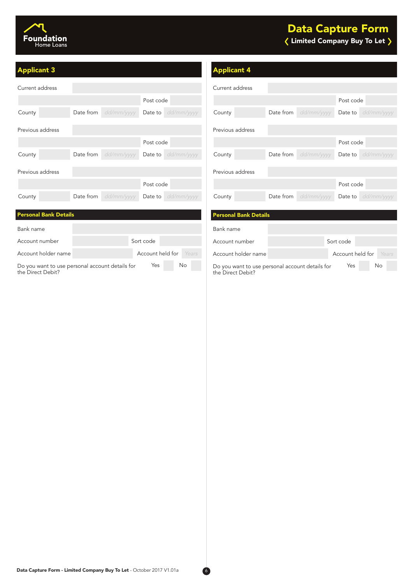

### Limited Company Buy To Let Data Capture Form

| Current address              |                             |           |                           |
|------------------------------|-----------------------------|-----------|---------------------------|
|                              |                             | Post code |                           |
| County                       | Date from dd/mm/yyyy        |           | Date to dd/mm/yyyy        |
| Previous address             |                             |           |                           |
|                              |                             | Post code |                           |
| County                       | <b>Date from</b> dd/mm/yyyy |           | <b>Date to</b> dd/mm/yyyy |
| Previous address             |                             |           |                           |
|                              |                             | Post code |                           |
| County                       | Date from dd/mm/yyyy        |           | Date to dd/mm/yyyy        |
|                              |                             |           |                           |
| <b>Personal Bank Details</b> |                             |           |                           |
| Bank name                    |                             |           |                           |

### **Applicant 3** Applicant 4

| Current address  |                      |                           |
|------------------|----------------------|---------------------------|
|                  |                      | Post code                 |
| County           | Date from dd/mm/yyyy | Date to dd/mm/yyyy        |
| Previous address |                      |                           |
|                  |                      | Post code                 |
| County           | Date from dd/mm/yyyy | Date to dd/mm/yyyy        |
| Previous address |                      |                           |
|                  |                      | Post code                 |
| County           | Date from dd/mm/yyyy | <b>Date to</b> dd/mm/yyyy |

### Account holder name **Account held for Years** Account holder name **Account holder Account held for** Years Bank name Account number Sort code Account number Sort code Account number Sort code Do you want to use personal account details for the Direct Debit? Yes No Do you want to use personal account details for Yes No Personal Bank Details

Do you want to use personal account details for the Direct Debit?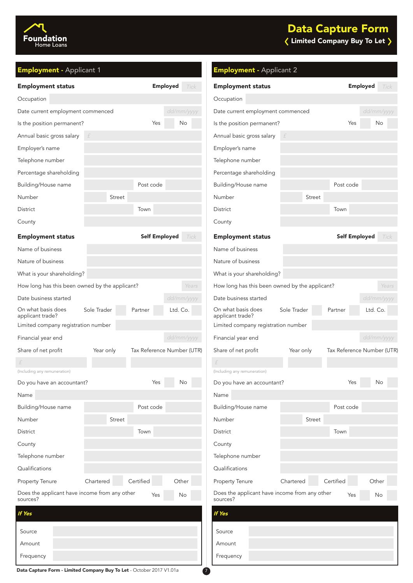

| Foundation |
|------------|
| Home Loans |

# Limited Company Buy To Let

| <b>Employment - Applicant 1</b>                           |               |                            |                 |            | <b>Employment - Applicant 2</b>                           |             |                      |                            |
|-----------------------------------------------------------|---------------|----------------------------|-----------------|------------|-----------------------------------------------------------|-------------|----------------------|----------------------------|
| <b>Employment status</b>                                  |               |                            | <b>Employed</b> | Tick       | <b>Employment status</b>                                  |             |                      | <b>Employed</b><br>Tick    |
| Occupation                                                |               |                            |                 |            | Occupation                                                |             |                      |                            |
| Date current employment commenced                         |               |                            |                 | dd/mm/yyyy | Date current employment commenced                         |             |                      | dd/mm/yyyy                 |
| Is the position permanent?                                |               | Yes                        |                 | No.        | Is the position permanent?                                |             | Yes                  | No                         |
| Annual basic gross salary                                 |               |                            |                 |            | Annual basic gross salary                                 |             |                      |                            |
| Employer's name                                           |               |                            |                 |            | Employer's name                                           |             |                      |                            |
| Telephone number                                          |               |                            |                 |            | Telephone number                                          |             |                      |                            |
| Percentage shareholding                                   |               |                            |                 |            | Percentage shareholding                                   |             |                      |                            |
| Building/House name                                       |               | Post code                  |                 |            | Building/House name                                       |             | Post code            |                            |
| Number                                                    | <b>Street</b> |                            |                 |            | Number                                                    | Street      |                      |                            |
| <b>District</b>                                           |               | Town                       |                 |            | District                                                  |             | Town                 |                            |
| County                                                    |               |                            |                 |            | County                                                    |             |                      |                            |
| <b>Employment status</b>                                  |               | <b>Self Employed</b>       |                 | Tick       | <b>Employment status</b>                                  |             | <b>Self Employed</b> | Tick                       |
| Name of business                                          |               |                            |                 |            | Name of business                                          |             |                      |                            |
| Nature of business                                        |               |                            |                 |            | Nature of business                                        |             |                      |                            |
| What is your shareholding?                                |               |                            |                 |            | What is your shareholding?                                |             |                      |                            |
| How long has this been owned by the applicant?            |               |                            |                 | Years      | How long has this been owned by the applicant?            |             |                      | Years                      |
| Date business started                                     |               |                            |                 | dd/mm/yyyy | Date business started                                     |             |                      | dd/mm/yyyy                 |
| On what basis does<br>applicant trade?                    | Sole Trader   | Partner                    | Ltd. Co.        |            | On what basis does<br>applicant trade?                    | Sole Trader | Partner              | Ltd. Co.                   |
| Limited company registration number                       |               |                            |                 |            | Limited company registration number                       |             |                      |                            |
| Financial year end                                        |               |                            |                 | dd/mm/yyyy | Financial year end                                        |             |                      | dd/mm/yyyy                 |
| Share of net profit                                       | Year only     | Tax Reference Number (UTR) |                 |            | Share of net profit                                       | Year only   |                      | Tax Reference Number (UTR) |
|                                                           |               |                            |                 |            |                                                           |             |                      |                            |
| (Including any remuneration)                              |               |                            |                 |            | (Including any remuneration)                              |             |                      |                            |
| Do you have an accountant?                                |               | Yes                        |                 | No         | Do you have an accountant?                                |             | Yes                  | No                         |
| Name                                                      |               |                            |                 |            | Name                                                      |             |                      |                            |
| Building/House name                                       |               | Post code                  |                 |            | Building/House name                                       |             | Post code            |                            |
| Number                                                    | Street        |                            |                 |            | Number                                                    | Street      |                      |                            |
| District                                                  |               | Town                       |                 |            | District                                                  |             | Town                 |                            |
| County                                                    |               |                            |                 |            | County                                                    |             |                      |                            |
| Telephone number                                          |               |                            |                 |            | Telephone number                                          |             |                      |                            |
| Qualifications                                            |               |                            |                 |            | Qualifications                                            |             |                      |                            |
| Property Tenure                                           | Chartered     | Certified                  | Other           |            | Property Tenure                                           | Chartered   | Certified            | Other                      |
| Does the applicant have income from any other<br>sources? |               | Yes                        |                 | No         | Does the applicant have income from any other<br>sources? |             | Yes                  | $\mathsf{No}$              |
| <b>If Yes</b>                                             |               |                            |                 |            | If Yes                                                    |             |                      |                            |
| Source                                                    |               |                            |                 |            | Source                                                    |             |                      |                            |
| Amount                                                    |               |                            |                 |            | Amount                                                    |             |                      |                            |
| Frequency                                                 |               |                            |                 |            | Frequency                                                 |             |                      |                            |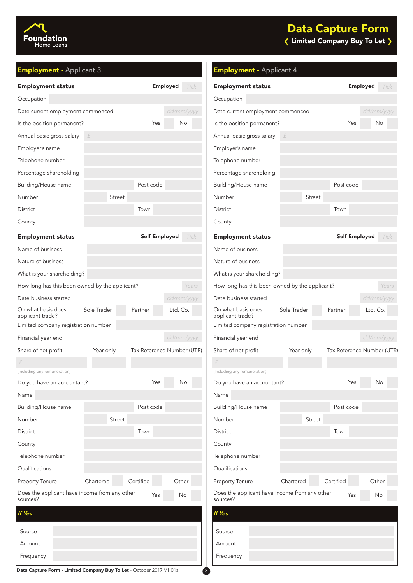

| Foundation |
|------------|
| Home Loans |

## Limited Company Buy To Let

| <b>Employment - Applicant 3</b>                           |                        |                              | <b>Employment - Applicant 4</b>                           |               |                      |                            |
|-----------------------------------------------------------|------------------------|------------------------------|-----------------------------------------------------------|---------------|----------------------|----------------------------|
| <b>Employment status</b>                                  |                        | <b>Employed</b><br>Tick      | <b>Employment status</b>                                  |               |                      | <b>Employed</b><br>Tick    |
| Occupation                                                |                        |                              | Occupation                                                |               |                      |                            |
| Date current employment commenced                         |                        | dd/mm/yyyy                   | Date current employment commenced                         |               |                      | dd/mm/yyyy                 |
| Is the position permanent?                                |                        | Yes<br>No                    | Is the position permanent?                                |               | Yes                  | No                         |
| Annual basic gross salary                                 | £                      |                              | Annual basic gross salary                                 |               |                      |                            |
| Employer's name                                           |                        |                              | Employer's name                                           |               |                      |                            |
| Telephone number                                          |                        |                              | Telephone number                                          |               |                      |                            |
| Percentage shareholding                                   |                        |                              | Percentage shareholding                                   |               |                      |                            |
| Building/House name                                       | Post code              |                              | Building/House name                                       |               | Post code            |                            |
| Number                                                    | <b>Street</b>          |                              | Number                                                    | <b>Street</b> |                      |                            |
| District                                                  | Town                   |                              | District                                                  |               | Town                 |                            |
| County                                                    |                        |                              | County                                                    |               |                      |                            |
| <b>Employment status</b>                                  |                        | <b>Self Employed</b><br>Tick | <b>Employment status</b>                                  |               | <b>Self Employed</b> | Tick                       |
| Name of business                                          |                        |                              | Name of business                                          |               |                      |                            |
| Nature of business                                        |                        |                              | Nature of business                                        |               |                      |                            |
| What is your shareholding?                                |                        |                              | What is your shareholding?                                |               |                      |                            |
| How long has this been owned by the applicant?            |                        | Years                        | How long has this been owned by the applicant?            |               |                      | Years                      |
| Date business started                                     |                        | dd/mm/yyyy                   | Date business started                                     |               |                      | dd/mm/yyyy                 |
| On what basis does<br>applicant trade?                    | Sole Trader<br>Partner | Ltd. Co.                     | On what basis does<br>applicant trade?                    | Sole Trader   | Partner              | Ltd. Co.                   |
| Limited company registration number                       |                        |                              | Limited company registration number                       |               |                      |                            |
| Financial year end                                        |                        | dd/mm/yyyy                   | Financial year end                                        |               |                      | dd/mm/yyyy                 |
| Share of net profit                                       | Year only              | Tax Reference Number (UTR)   | Share of net profit                                       | Year only     |                      | Tax Reference Number (UTR) |
|                                                           |                        |                              |                                                           |               |                      |                            |
| (Including any remuneration)                              |                        |                              | (Including any remuneration)                              |               |                      |                            |
| Do you have an accountant?                                |                        | Yes<br>No                    | Do you have an accountant?                                |               | Yes                  | No                         |
| Name                                                      |                        |                              | Name                                                      |               |                      |                            |
| Building/House name                                       | Post code              |                              | Building/House name                                       |               | Post code            |                            |
| Number                                                    | <b>Street</b>          |                              | Number                                                    | <b>Street</b> |                      |                            |
| District                                                  | Town                   |                              | District                                                  |               | Town                 |                            |
| County                                                    |                        |                              | County                                                    |               |                      |                            |
| Telephone number                                          |                        |                              | Telephone number                                          |               |                      |                            |
| Qualifications                                            |                        |                              | Qualifications                                            |               |                      |                            |
| Property Tenure                                           | Certified<br>Chartered | Other                        | Property Tenure                                           | Chartered     | Certified            | Other                      |
| Does the applicant have income from any other<br>sources? |                        | Yes<br>No                    | Does the applicant have income from any other<br>sources? |               | Yes                  | No                         |
| <b>If Yes</b>                                             |                        |                              | If Yes                                                    |               |                      |                            |
| Source                                                    |                        |                              | Source                                                    |               |                      |                            |
| Amount                                                    |                        |                              | Amount                                                    |               |                      |                            |
| Frequency                                                 |                        |                              | Frequency                                                 |               |                      |                            |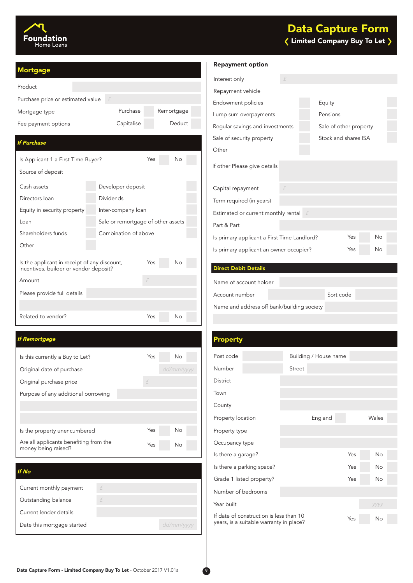

### $\langle$  Limited Company Buy To Let  $\rangle$ Data Capture Form

| <b>Mortgage</b>                                                                        |                                    |     |            |  |
|----------------------------------------------------------------------------------------|------------------------------------|-----|------------|--|
| Product                                                                                |                                    |     |            |  |
| Purchase price or estimated value                                                      | f                                  |     |            |  |
| Mortgage type                                                                          | Purchase                           |     | Remortgage |  |
| Fee payment options                                                                    | Capitalise                         |     | Deduct     |  |
| <b>If Purchase</b>                                                                     |                                    |     |            |  |
| Is Applicant 1 a First Time Buyer?                                                     |                                    | Yes | No         |  |
| Source of deposit                                                                      |                                    |     |            |  |
| Cash assets                                                                            | Developer deposit                  |     |            |  |
| Directors Ioan                                                                         | <b>Dividends</b>                   |     |            |  |
| Equity in security property                                                            | Inter-company loan                 |     |            |  |
| Loan                                                                                   | Sale or remortgage of other assets |     |            |  |
| Shareholders funds                                                                     | Combination of above               |     |            |  |
| Other                                                                                  |                                    |     |            |  |
| Is the applicant in receipt of any discount,<br>incentives, builder or vendor deposit? |                                    | Yes | Νo         |  |
| Amount                                                                                 |                                    | f   |            |  |
| Please provide full details                                                            |                                    |     |            |  |
|                                                                                        |                                    |     |            |  |
| Related to vendor?                                                                     |                                    | Yes | Νo         |  |

### If Remortgage

| Is this currently a Buy to Let?                               | Yes | No         |
|---------------------------------------------------------------|-----|------------|
| Original date of purchase                                     |     | dd/mm/yyyy |
| Original purchase price                                       | f   |            |
| Purpose of any additional borrowing                           |     |            |
|                                                               |     |            |
|                                                               |     |            |
| Is the property unencumbered                                  | Yes | No         |
| Are all applicants benefiting from the<br>money being raised? | Yes | No         |

### If No

| Current monthly payment    |            |
|----------------------------|------------|
| Outstanding balance        |            |
| Current lender details     |            |
| Date this mortgage started | dd/mm/yyyy |

### Repayment option

| Interest only                                                   |  |  |                        |    |  |  |  |
|-----------------------------------------------------------------|--|--|------------------------|----|--|--|--|
| Repayment vehicle                                               |  |  |                        |    |  |  |  |
| Endowment policies                                              |  |  | Equity                 |    |  |  |  |
| Lump sum overpayments                                           |  |  | Pensions               |    |  |  |  |
| Regular savings and investments                                 |  |  | Sale of other property |    |  |  |  |
| Sale of security property                                       |  |  | Stock and shares ISA   |    |  |  |  |
| Other                                                           |  |  |                        |    |  |  |  |
| If other Please give details                                    |  |  |                        |    |  |  |  |
| Capital repayment                                               |  |  |                        |    |  |  |  |
| Term required (in years)                                        |  |  |                        |    |  |  |  |
| Estimated or current monthly rental $\mathbf{f}$                |  |  |                        |    |  |  |  |
| Part & Part                                                     |  |  |                        |    |  |  |  |
| <b>No</b><br>Yes<br>Is primary applicant a First Time Landlord? |  |  |                        |    |  |  |  |
| Yes<br>Is primary applicant an owner occupier?                  |  |  |                        | No |  |  |  |

### Direct Debit Details

Name of account holder

| Account number                             | Sort code |  |
|--------------------------------------------|-----------|--|
| Name and address off bank/building society |           |  |

| <b>Property</b>                                                                    |  |        |                       |     |           |  |
|------------------------------------------------------------------------------------|--|--------|-----------------------|-----|-----------|--|
| Post code                                                                          |  |        | Building / House name |     |           |  |
| Number                                                                             |  | Street |                       |     |           |  |
| <b>District</b>                                                                    |  |        |                       |     |           |  |
| Town                                                                               |  |        |                       |     |           |  |
| County                                                                             |  |        |                       |     |           |  |
| Property location                                                                  |  |        | England               |     | Wales     |  |
| Property type                                                                      |  |        |                       |     |           |  |
| Occupancy type                                                                     |  |        |                       |     |           |  |
| Is there a garage?                                                                 |  |        |                       | Yes | <b>No</b> |  |
| Is there a parking space?                                                          |  |        |                       | Yes | No        |  |
| Grade 1 listed property?                                                           |  |        |                       | Yes | <b>No</b> |  |
| Number of bedrooms                                                                 |  |        |                       |     |           |  |
| Year built                                                                         |  |        |                       |     | уууу      |  |
| If date of construction is less than 10<br>years, is a suitable warranty in place? |  |        | Yes                   | No  |           |  |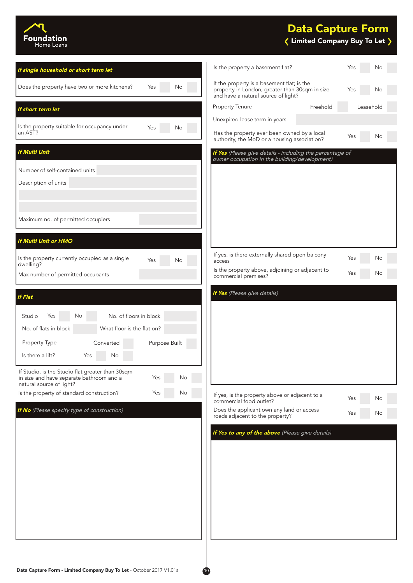

### Data Capture Form

### $\langle$  Limited Company Buy To Let  $\rangle$

| If single household or short term let                                                                                                 | Is the property a basement flat?                                                                                                    | Yes<br>No             |
|---------------------------------------------------------------------------------------------------------------------------------------|-------------------------------------------------------------------------------------------------------------------------------------|-----------------------|
| Does the property have two or more kitchens?<br>Yes<br>No                                                                             | If the property is a basement flat; is the<br>property in London, greater than 30sqm in size<br>and have a natural source of light? | Yes<br>No             |
| If short term let                                                                                                                     | Property Tenure                                                                                                                     | Freehold<br>Leasehold |
| Is the property suitable for occupancy under<br>Yes<br>No                                                                             | Unexpired lease term in years                                                                                                       |                       |
| an AST?                                                                                                                               | Has the property ever been owned by a local<br>authority, the MoD or a housing association?                                         | Yes<br>No             |
| <b>If Multi Unit</b>                                                                                                                  | If Yes (Please give details - including the percentage of<br>owner occupation in the building/development)                          |                       |
| Number of self-contained units                                                                                                        |                                                                                                                                     |                       |
| Description of units                                                                                                                  |                                                                                                                                     |                       |
|                                                                                                                                       |                                                                                                                                     |                       |
| Maximum no. of permitted occupiers                                                                                                    |                                                                                                                                     |                       |
|                                                                                                                                       |                                                                                                                                     |                       |
| <b>If Multi Unit or HMO</b>                                                                                                           |                                                                                                                                     |                       |
| Is the property currently occupied as a single<br>Yes<br>No                                                                           | If yes, is there externally shared open balcony<br>access                                                                           | Yes<br>No             |
| dwelling?<br>Max number of permitted occupants                                                                                        | Is the property above, adjoining or adjacent to<br>commercial premises?                                                             | Yes<br>No             |
|                                                                                                                                       |                                                                                                                                     |                       |
| <b>If Flat</b>                                                                                                                        | If Yes (Please give details)                                                                                                        |                       |
| No. of floors in block<br>Studio<br>Yes<br>No                                                                                         |                                                                                                                                     |                       |
| No. of flats in block<br>What floor is the flat on?                                                                                   |                                                                                                                                     |                       |
| Purpose Built<br>Property Type<br>Converted                                                                                           |                                                                                                                                     |                       |
| Is there a lift?<br>Yes<br>No                                                                                                         |                                                                                                                                     |                       |
| If Studio, is the Studio flat greater than 30sqm<br>in size and have separate bathroom and a<br>Yes<br>No<br>natural source of light? |                                                                                                                                     |                       |
| Is the property of standard construction?<br>Yes<br>No                                                                                | If yes, is the property above or adjacent to a                                                                                      | Yes<br>No             |
| If No (Please specify type of construction)                                                                                           | commercial food outlet?<br>Does the applicant own any land or access                                                                | Yes<br>No             |
|                                                                                                                                       | roads adjacent to the property?                                                                                                     |                       |
|                                                                                                                                       | If Yes to any of the above (Please give details)                                                                                    |                       |
|                                                                                                                                       |                                                                                                                                     |                       |
|                                                                                                                                       |                                                                                                                                     |                       |
|                                                                                                                                       |                                                                                                                                     |                       |
|                                                                                                                                       |                                                                                                                                     |                       |
|                                                                                                                                       |                                                                                                                                     |                       |
|                                                                                                                                       |                                                                                                                                     |                       |
|                                                                                                                                       |                                                                                                                                     |                       |
|                                                                                                                                       |                                                                                                                                     |                       |